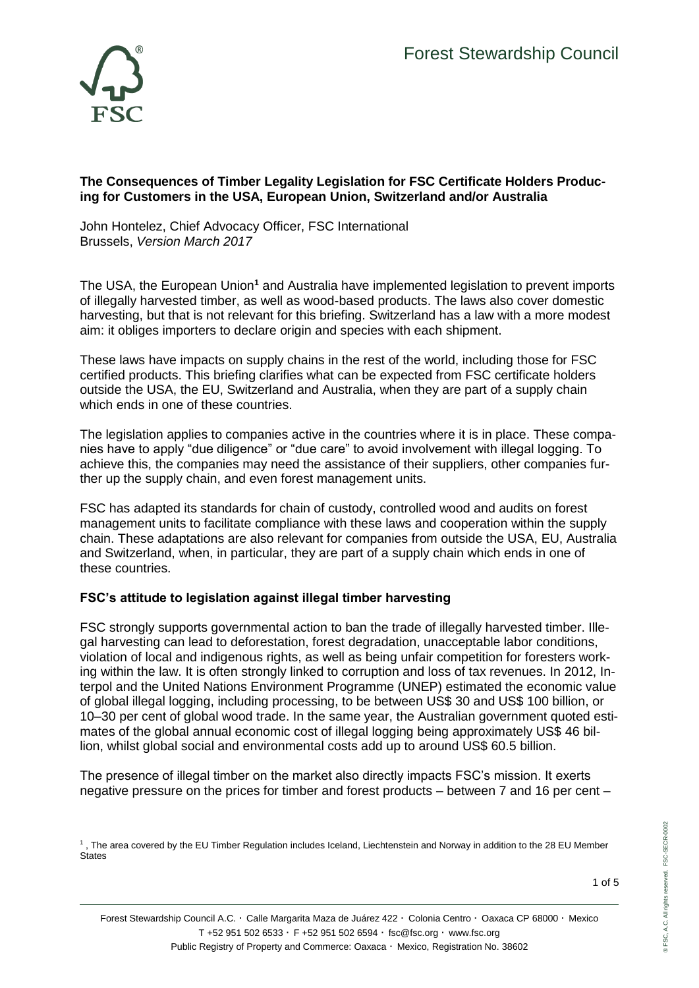

### **The Consequences of Timber Legality Legislation for FSC Certificate Holders Producing for Customers in the USA, European Union, Switzerland and/or Australia**

John Hontelez, Chief Advocacy Officer, FSC International Brussels, *Version March 2017*

The USA, the European Union**<sup>1</sup>** and Australia have implemented legislation to prevent imports of illegally harvested timber, as well as wood-based products. The laws also cover domestic harvesting, but that is not relevant for this briefing. Switzerland has a law with a more modest aim: it obliges importers to declare origin and species with each shipment.

These laws have impacts on supply chains in the rest of the world, including those for FSC certified products. This briefing clarifies what can be expected from FSC certificate holders outside the USA, the EU, Switzerland and Australia, when they are part of a supply chain which ends in one of these countries.

The legislation applies to companies active in the countries where it is in place. These companies have to apply "due diligence" or "due care" to avoid involvement with illegal logging. To achieve this, the companies may need the assistance of their suppliers, other companies further up the supply chain, and even forest management units.

FSC has adapted its standards for chain of custody, controlled wood and audits on forest management units to facilitate compliance with these laws and cooperation within the supply chain. These adaptations are also relevant for companies from outside the USA, EU, Australia and Switzerland, when, in particular, they are part of a supply chain which ends in one of these countries.

# **FSC's attitude to legislation against illegal timber harvesting**

FSC strongly supports governmental action to ban the trade of illegally harvested timber. Illegal harvesting can lead to deforestation, forest degradation, unacceptable labor conditions, violation of local and indigenous rights, as well as being unfair competition for foresters working within the law. It is often strongly linked to corruption and loss of tax revenues. In 2012, Interpol and the United Nations Environment Programme (UNEP) estimated the economic value of global illegal logging, including processing, to be between US\$ 30 and US\$ 100 billion, or 10–30 per cent of global wood trade. In the same year, the Australian government quoted estimates of the global annual economic cost of illegal logging being approximately US\$ 46 billion, whilst global social and environmental costs add up to around US\$ 60.5 billion.

The presence of illegal timber on the market also directly impacts FSC's mission. It exerts negative pressure on the prices for timber and forest products – between 7 and 16 per cent –

<sup>1</sup> , The area covered by the EU Timber Regulation includes Iceland, Liechtenstein and Norway in addition to the 28 EU Member **States**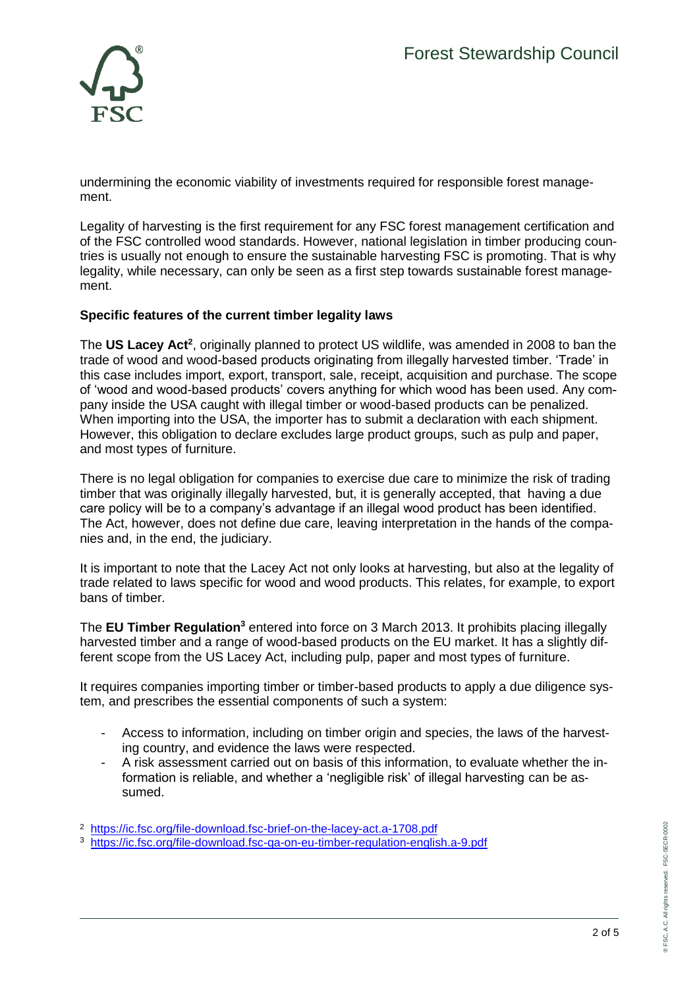

undermining the economic viability of investments required for responsible forest management.

Legality of harvesting is the first requirement for any FSC forest management certification and of the FSC controlled wood standards. However, national legislation in timber producing countries is usually not enough to ensure the sustainable harvesting FSC is promoting. That is why legality, while necessary, can only be seen as a first step towards sustainable forest management.

## **Specific features of the current timber legality laws**

The **US Lacey Act<sup>2</sup>** , originally planned to protect US wildlife, was amended in 2008 to ban the trade of wood and wood-based products originating from illegally harvested timber. 'Trade' in this case includes import, export, transport, sale, receipt, acquisition and purchase. The scope of 'wood and wood-based products' covers anything for which wood has been used. Any company inside the USA caught with illegal timber or wood-based products can be penalized. When importing into the USA, the importer has to submit a declaration with each shipment. However, this obligation to declare excludes large product groups, such as pulp and paper, and most types of furniture.

There is no legal obligation for companies to exercise due care to minimize the risk of trading timber that was originally illegally harvested, but, it is generally accepted, that having a due care policy will be to a company's advantage if an illegal wood product has been identified. The Act, however, does not define due care, leaving interpretation in the hands of the companies and, in the end, the judiciary.

It is important to note that the Lacey Act not only looks at harvesting, but also at the legality of trade related to laws specific for wood and wood products. This relates, for example, to export bans of timber.

The **EU Timber Regulation<sup>3</sup>** entered into force on 3 March 2013. It prohibits placing illegally harvested timber and a range of wood-based products on the EU market. It has a slightly different scope from the US Lacey Act, including pulp, paper and most types of furniture.

It requires companies importing timber or timber-based products to apply a due diligence system, and prescribes the essential components of such a system:

- Access to information, including on timber origin and species, the laws of the harvesting country, and evidence the laws were respected.
- A risk assessment carried out on basis of this information, to evaluate whether the information is reliable, and whether a 'negligible risk' of illegal harvesting can be assumed.
- <sup>2</sup> <https://ic.fsc.org/file-download.fsc-brief-on-the-lacey-act.a-1708.pdf>
- <sup>3</sup> <https://ic.fsc.org/file-download.fsc-qa-on-eu-timber-regulation-english.a-9.pdf>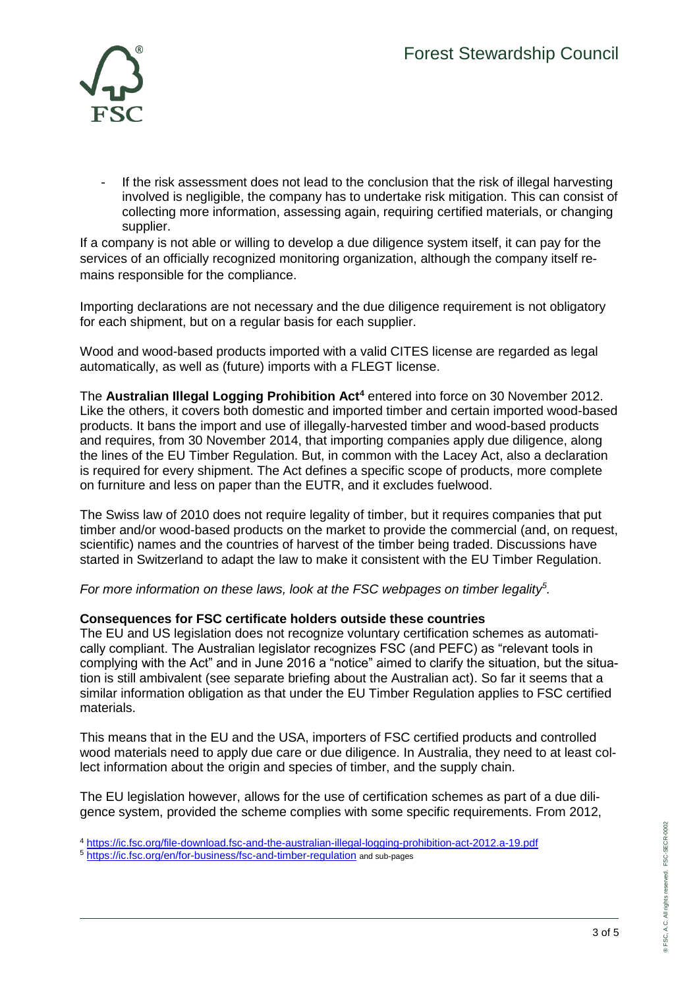

If the risk assessment does not lead to the conclusion that the risk of illegal harvesting involved is negligible, the company has to undertake risk mitigation. This can consist of collecting more information, assessing again, requiring certified materials, or changing supplier.

If a company is not able or willing to develop a due diligence system itself, it can pay for the services of an officially recognized monitoring organization, although the company itself remains responsible for the compliance.

Importing declarations are not necessary and the due diligence requirement is not obligatory for each shipment, but on a regular basis for each supplier.

Wood and wood-based products imported with a valid CITES license are regarded as legal automatically, as well as (future) imports with a FLEGT license.

The **Australian Illegal Logging Prohibition Act<sup>4</sup>** entered into force on 30 November 2012. Like the others, it covers both domestic and imported timber and certain imported wood-based products. It bans the import and use of illegally-harvested timber and wood-based products and requires, from 30 November 2014, that importing companies apply due diligence, along the lines of the EU Timber Regulation. But, in common with the Lacey Act, also a declaration is required for every shipment. The Act defines a specific scope of products, more complete on furniture and less on paper than the EUTR, and it excludes fuelwood.

The Swiss law of 2010 does not require legality of timber, but it requires companies that put timber and/or wood-based products on the market to provide the commercial (and, on request, scientific) names and the countries of harvest of the timber being traded. Discussions have started in Switzerland to adapt the law to make it consistent with the EU Timber Regulation.

*For more information on these laws, look at the FSC webpages on timber legality<sup>5</sup> .*

#### **Consequences for FSC certificate holders outside these countries**

The EU and US legislation does not recognize voluntary certification schemes as automatically compliant. The Australian legislator recognizes FSC (and PEFC) as "relevant tools in complying with the Act" and in June 2016 a "notice" aimed to clarify the situation, but the situation is still ambivalent (see separate briefing about the Australian act). So far it seems that a similar information obligation as that under the EU Timber Regulation applies to FSC certified materials.

This means that in the EU and the USA, importers of FSC certified products and controlled wood materials need to apply due care or due diligence. In Australia, they need to at least collect information about the origin and species of timber, and the supply chain.

The EU legislation however, allows for the use of certification schemes as part of a due diligence system, provided the scheme complies with some specific requirements. From 2012,

<sup>4</sup> <https://ic.fsc.org/file-download.fsc-and-the-australian-illegal-logging-prohibition-act-2012.a-19.pdf>

<sup>5</sup> <https://ic.fsc.org/en/for-business/fsc-and-timber-regulation> and sub-pages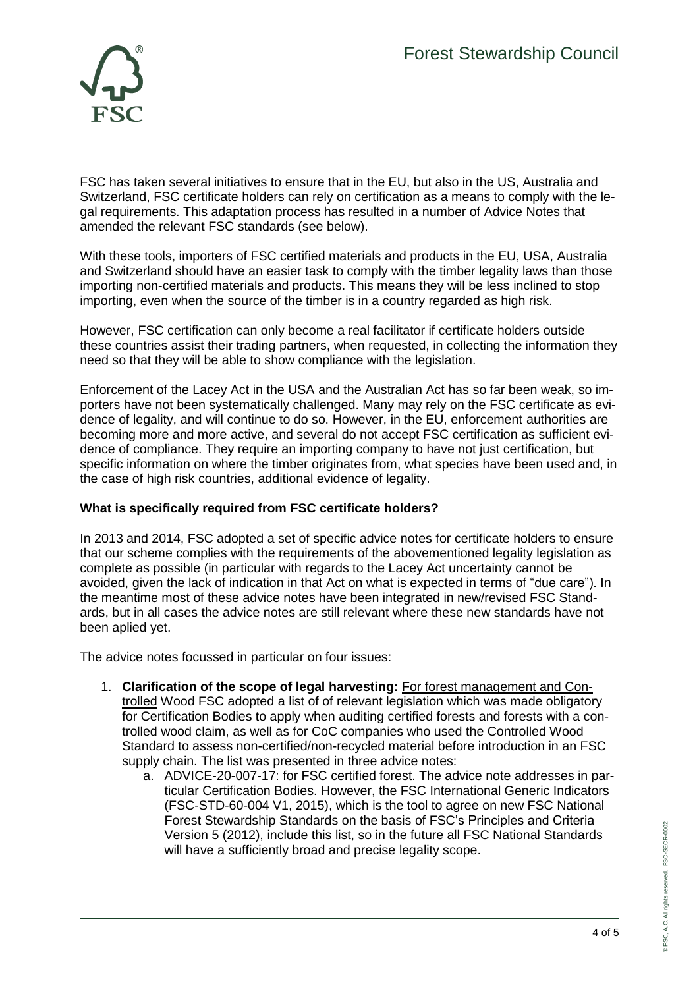

FSC has taken several initiatives to ensure that in the EU, but also in the US, Australia and Switzerland, FSC certificate holders can rely on certification as a means to comply with the legal requirements. This adaptation process has resulted in a number of Advice Notes that amended the relevant FSC standards (see below).

With these tools, importers of FSC certified materials and products in the EU, USA, Australia and Switzerland should have an easier task to comply with the timber legality laws than those importing non-certified materials and products. This means they will be less inclined to stop importing, even when the source of the timber is in a country regarded as high risk.

However, FSC certification can only become a real facilitator if certificate holders outside these countries assist their trading partners, when requested, in collecting the information they need so that they will be able to show compliance with the legislation.

Enforcement of the Lacey Act in the USA and the Australian Act has so far been weak, so importers have not been systematically challenged. Many may rely on the FSC certificate as evidence of legality, and will continue to do so. However, in the EU, enforcement authorities are becoming more and more active, and several do not accept FSC certification as sufficient evidence of compliance. They require an importing company to have not just certification, but specific information on where the timber originates from, what species have been used and, in the case of high risk countries, additional evidence of legality.

# **What is specifically required from FSC certificate holders?**

In 2013 and 2014, FSC adopted a set of specific advice notes for certificate holders to ensure that our scheme complies with the requirements of the abovementioned legality legislation as complete as possible (in particular with regards to the Lacey Act uncertainty cannot be avoided, given the lack of indication in that Act on what is expected in terms of "due care"). In the meantime most of these advice notes have been integrated in new/revised FSC Standards, but in all cases the advice notes are still relevant where these new standards have not been aplied yet.

The advice notes focussed in particular on four issues:

- 1. **Clarification of the scope of legal harvesting:** For forest management and Controlled Wood FSC adopted a list of of relevant legislation which was made obligatory for Certification Bodies to apply when auditing certified forests and forests with a controlled wood claim, as well as for CoC companies who used the Controlled Wood Standard to assess non-certified/non-recycled material before introduction in an FSC supply chain. The list was presented in three advice notes:
	- a. ADVICE-20-007-17: for FSC certified forest. The advice note addresses in particular Certification Bodies. However, the FSC International Generic Indicators (FSC-STD-60-004 V1, 2015), which is the tool to agree on new FSC National Forest Stewardship Standards on the basis of FSC's Principles and Criteria Version 5 (2012), include this list, so in the future all FSC National Standards will have a sufficiently broad and precise legality scope.